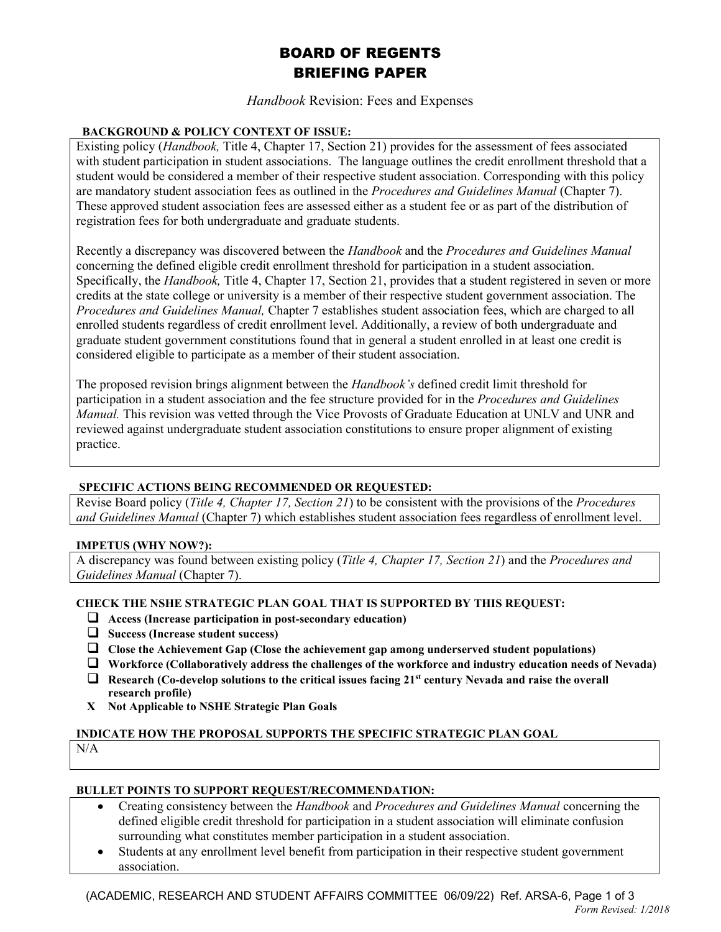# BOARD OF REGENTS BRIEFING PAPER

## *Handbook* Revision: Fees and Expenses

### **BACKGROUND & POLICY CONTEXT OF ISSUE:**

Existing policy (*Handbook,* Title 4, Chapter 17, Section 21) provides for the assessment of fees associated with student participation in student associations. The language outlines the credit enrollment threshold that a student would be considered a member of their respective student association. Corresponding with this policy are mandatory student association fees as outlined in the *Procedures and Guidelines Manual* (Chapter 7). These approved student association fees are assessed either as a student fee or as part of the distribution of registration fees for both undergraduate and graduate students.

Recently a discrepancy was discovered between the *Handbook* and the *Procedures and Guidelines Manual* concerning the defined eligible credit enrollment threshold for participation in a student association. Specifically, the *Handbook,* Title 4, Chapter 17, Section 21, provides that a student registered in seven or more credits at the state college or university is a member of their respective student government association. The *Procedures and Guidelines Manual,* Chapter 7 establishes student association fees, which are charged to all enrolled students regardless of credit enrollment level. Additionally, a review of both undergraduate and graduate student government constitutions found that in general a student enrolled in at least one credit is considered eligible to participate as a member of their student association.

The proposed revision brings alignment between the *Handbook's* defined credit limit threshold for participation in a student association and the fee structure provided for in the *Procedures and Guidelines Manual.* This revision was vetted through the Vice Provosts of Graduate Education at UNLV and UNR and reviewed against undergraduate student association constitutions to ensure proper alignment of existing practice.

#### **SPECIFIC ACTIONS BEING RECOMMENDED OR REQUESTED:**

Revise Board policy (*Title 4, Chapter 17, Section 21*) to be consistent with the provisions of the *Procedures and Guidelines Manual* (Chapter 7) which establishes student association fees regardless of enrollment level.

#### **IMPETUS (WHY NOW?):**

A discrepancy was found between existing policy (*Title 4, Chapter 17, Section 21*) and the *Procedures and Guidelines Manual* (Chapter 7).

#### **CHECK THE NSHE STRATEGIC PLAN GOAL THAT IS SUPPORTED BY THIS REQUEST:**

- **Access (Increase participation in post-secondary education)**
- **Success (Increase student success)**
- **Close the Achievement Gap (Close the achievement gap among underserved student populations)**
- **Workforce (Collaboratively address the challenges of the workforce and industry education needs of Nevada)**
- **Research (Co-develop solutions to the critical issues facing 21st century Nevada and raise the overall research profile)**
- **X Not Applicable to NSHE Strategic Plan Goals**

#### **INDICATE HOW THE PROPOSAL SUPPORTS THE SPECIFIC STRATEGIC PLAN GOAL**

N/A

#### **BULLET POINTS TO SUPPORT REQUEST/RECOMMENDATION:**

- Creating consistency between the *Handbook* and *Procedures and Guidelines Manual* concerning the defined eligible credit threshold for participation in a student association will eliminate confusion surrounding what constitutes member participation in a student association.
- Students at any enrollment level benefit from participation in their respective student government association.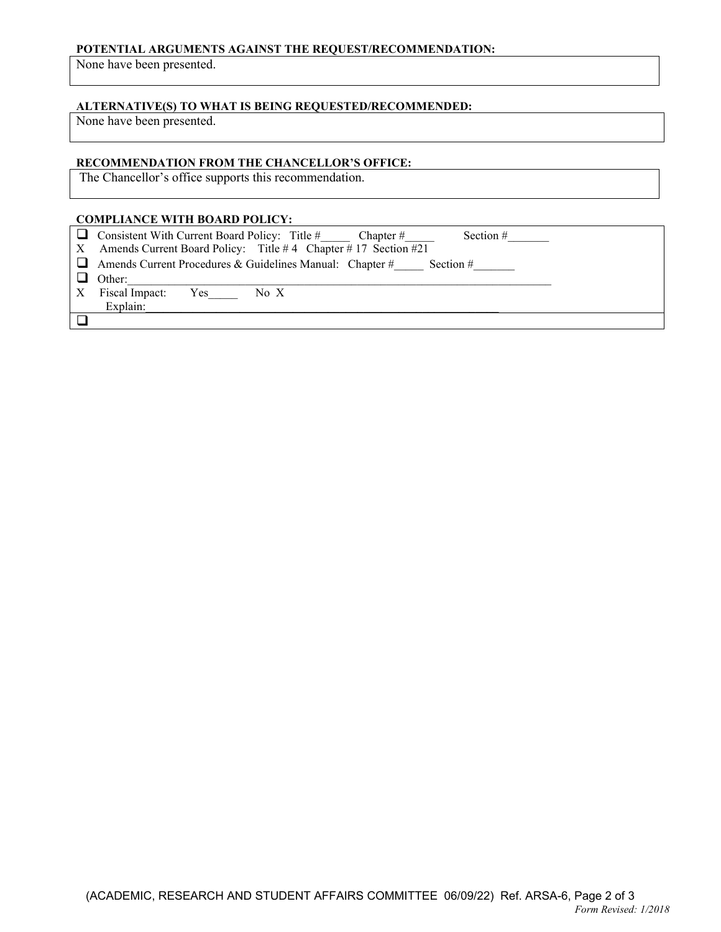#### **POTENTIAL ARGUMENTS AGAINST THE REQUEST/RECOMMENDATION:**

None have been presented.

# **ALTERNATIVE(S) TO WHAT IS BEING REQUESTED/RECOMMENDED:**

None have been presented.

#### **RECOMMENDATION FROM THE CHANCELLOR'S OFFICE:**

The Chancellor's office supports this recommendation.

#### **COMPLIANCE WITH BOARD POLICY:**

|   | $\Box$ Consistent With Current Board Policy: Title #<br>Section $#$<br>Chapter $#$ |
|---|------------------------------------------------------------------------------------|
|   | X Amends Current Board Policy: Title #4 Chapter #17 Section #21                    |
|   | $\Box$ Amends Current Procedures & Guidelines Manual: Chapter #<br>Section $#$     |
|   | Other:                                                                             |
| X | Fiscal Impact:<br>Yes-<br>No X                                                     |
|   | Explain:                                                                           |
|   |                                                                                    |
|   |                                                                                    |